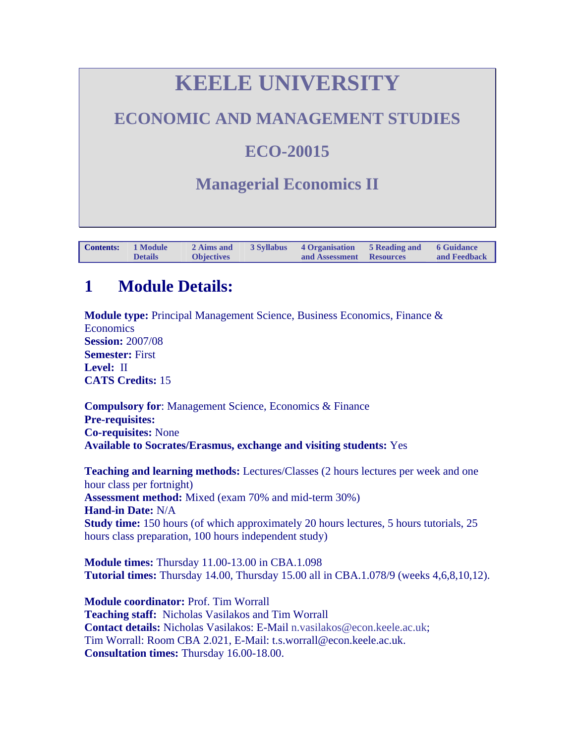# **KEELE UNIVERSITY**

### <span id="page-0-0"></span>**ECONOMIC AND MANAGEMENT STUDIES**

### **ECO-20015**

### **Managerial Economics II**

| <b>Contents:</b> | 1 Module       | 2 Aims and        | 3 Syllabus 4 Organisation | 5 Reading and 6 Guidance |              |
|------------------|----------------|-------------------|---------------------------|--------------------------|--------------|
|                  | <b>Details</b> | <b>Objectives</b> | and Assessment Resources  |                          | and Feedback |

### **1 Module Details:**

**Module type:** Principal Management Science, Business Economics, Finance & **Economics Session:** 2007/08 **Semester:** First **Level:** II **CATS Credits:** 15

**Compulsory for**: Management Science, Economics & Finance **Pre-requisites: Co-requisites:** None **Available to Socrates/Erasmus, exchange and visiting students:** Yes

**Teaching and learning methods:** Lectures/Classes (2 hours lectures per week and one hour class per fortnight) **Assessment method:** Mixed (exam 70% and mid-term 30%) **Hand-in Date:** N/A **Study time:** 150 hours (of which approximately 20 hours lectures, 5 hours tutorials, 25 hours class preparation, 100 hours independent study)

**Module times:** Thursday 11.00-13.00 in CBA.1.098 **Tutorial times:** Thursday 14.00, Thursday 15.00 all in CBA.1.078/9 (weeks 4,6,8,10,12).

**Module coordinator:** Prof. Tim Worrall **Teaching staff:** Nicholas Vasilakos and Tim Worrall **Contact details:** Nicholas Vasilakos: E-Mail [n.vasilakos@econ.keele.ac.uk;](mailto:n.vasilakos@econ.keele.ac.uk) Tim Worrall: Room CBA 2.021, E-Mail: t.s.worrall@econ.keele.ac.uk. **Consultation times:** Thursday 16.00-18.00.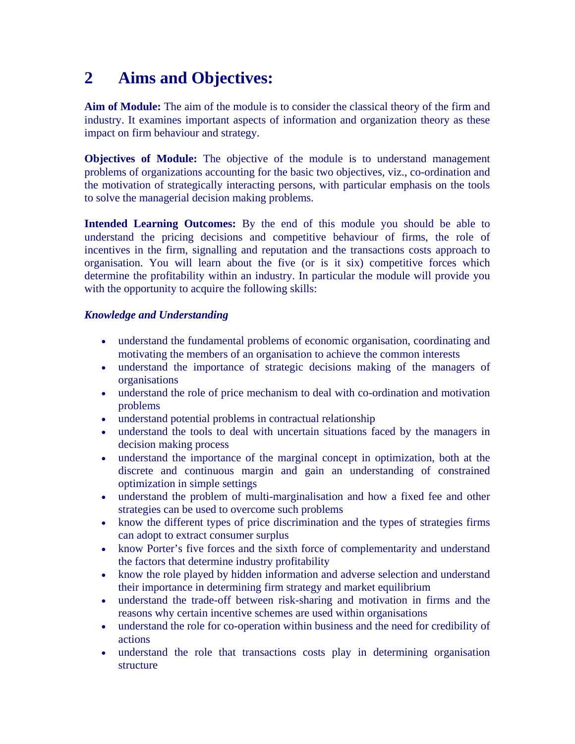### <span id="page-1-0"></span>**2 Aims and Objectives:**

**Aim of Module:** The aim of the module is to consider the classical theory of the firm and industry. It examines important aspects of information and organization theory as these impact on firm behaviour and strategy.

**Objectives of Module:** The objective of the module is to understand management problems of organizations accounting for the basic two objectives, viz., co-ordination and the motivation of strategically interacting persons, with particular emphasis on the tools to solve the managerial decision making problems.

**Intended Learning Outcomes:** By the end of this module you should be able to understand the pricing decisions and competitive behaviour of firms, the role of incentives in the firm, signalling and reputation and the transactions costs approach to organisation. You will learn about the five (or is it six) competitive forces which determine the profitability within an industry. In particular the module will provide you with the opportunity to acquire the following skills:

#### *Knowledge and Understanding*

- understand the fundamental problems of economic organisation, coordinating and motivating the members of an organisation to achieve the common interests
- understand the importance of strategic decisions making of the managers of organisations
- understand the role of price mechanism to deal with co-ordination and motivation problems
- understand potential problems in contractual relationship
- understand the tools to deal with uncertain situations faced by the managers in decision making process
- understand the importance of the marginal concept in optimization, both at the discrete and continuous margin and gain an understanding of constrained optimization in simple settings
- understand the problem of multi-marginalisation and how a fixed fee and other strategies can be used to overcome such problems
- know the different types of price discrimination and the types of strategies firms can adopt to extract consumer surplus
- know Porter's five forces and the sixth force of complementarity and understand the factors that determine industry profitability
- know the role played by hidden information and adverse selection and understand their importance in determining firm strategy and market equilibrium
- understand the trade-off between risk-sharing and motivation in firms and the reasons why certain incentive schemes are used within organisations
- understand the role for co-operation within business and the need for credibility of actions
- understand the role that transactions costs play in determining organisation structure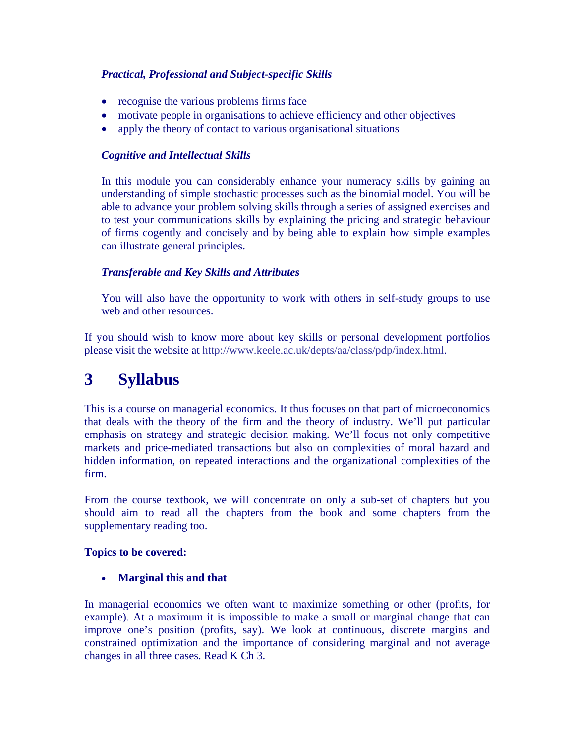#### <span id="page-2-0"></span>*Practical, Professional and Subject-specific Skills*

- recognise the various problems firms face
- motivate people in organisations to achieve efficiency and other objectives
- apply the theory of contact to various organisational situations

#### *Cognitive and Intellectual Skills*

In this module you can considerably enhance your numeracy skills by gaining an understanding of simple stochastic processes such as the binomial model. You will be able to advance your problem solving skills through a series of assigned exercises and to test your communications skills by explaining the pricing and strategic behaviour of firms cogently and concisely and by being able to explain how simple examples can illustrate general principles.

#### *Transferable and Key Skills and Attributes*

You will also have the opportunity to work with others in self-study groups to use web and other resources.

If you should wish to know more about key skills or personal development portfolios please visit the website at [http://www.keele.ac.uk/depts/aa/class/pdp/index.html.](http://www.keele.ac.uk/depts/aa/class/pdp/index.html)

### **3 Syllabus**

This is a course on managerial economics. It thus focuses on that part of microeconomics that deals with the theory of the firm and the theory of industry. We'll put particular emphasis on strategy and strategic decision making. We'll focus not only competitive markets and price-mediated transactions but also on complexities of moral hazard and hidden information, on repeated interactions and the organizational complexities of the firm.

From the course textbook, we will concentrate on only a sub-set of chapters but you should aim to read all the chapters from the book and some chapters from the supplementary reading too.

#### **Topics to be covered:**

• **Marginal this and that**

In managerial economics we often want to maximize something or other (profits, for example). At a maximum it is impossible to make a small or marginal change that can improve one's position (profits, say). We look at continuous, discrete margins and constrained optimization and the importance of considering marginal and not average changes in all three cases. Read K Ch 3.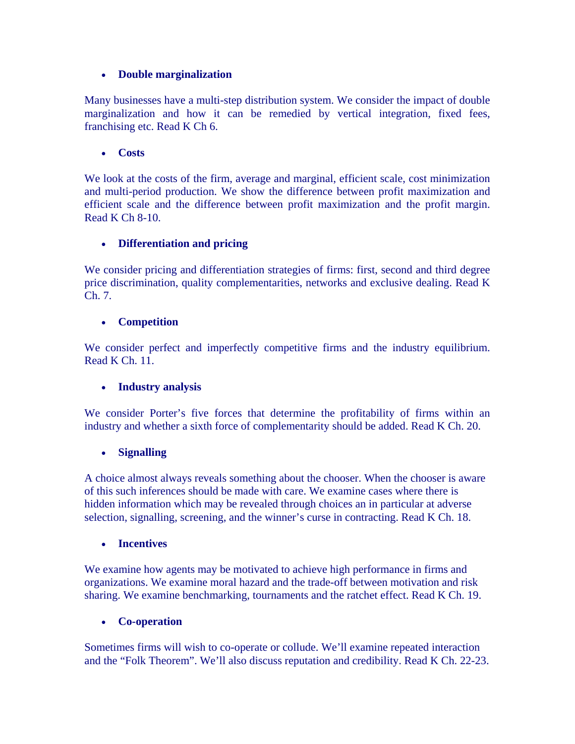#### • **Double marginalization**

Many businesses have a multi-step distribution system. We consider the impact of double marginalization and how it can be remedied by vertical integration, fixed fees, franchising etc. Read K Ch 6.

#### • **Costs**

We look at the costs of the firm, average and marginal, efficient scale, cost minimization and multi-period production. We show the difference between profit maximization and efficient scale and the difference between profit maximization and the profit margin. Read K Ch 8-10.

#### • **Differentiation and pricing**

We consider pricing and differentiation strategies of firms: first, second and third degree price discrimination, quality complementarities, networks and exclusive dealing. Read K Ch. 7.

#### • **Competition**

We consider perfect and imperfectly competitive firms and the industry equilibrium. Read K Ch. 11.

#### • **Industry analysis**

We consider Porter's five forces that determine the profitability of firms within an industry and whether a sixth force of complementarity should be added. Read K Ch. 20.

#### • **Signalling**

A choice almost always reveals something about the chooser. When the chooser is aware of this such inferences should be made with care. We examine cases where there is hidden information which may be revealed through choices an in particular at adverse selection, signalling, screening, and the winner's curse in contracting. Read K Ch. 18.

#### • **Incentives**

We examine how agents may be motivated to achieve high performance in firms and organizations. We examine moral hazard and the trade-off between motivation and risk sharing. We examine benchmarking, tournaments and the ratchet effect. Read K Ch. 19.

#### • **Co-operation**

Sometimes firms will wish to co-operate or collude. We'll examine repeated interaction and the "Folk Theorem". We'll also discuss reputation and credibility. Read K Ch. 22-23.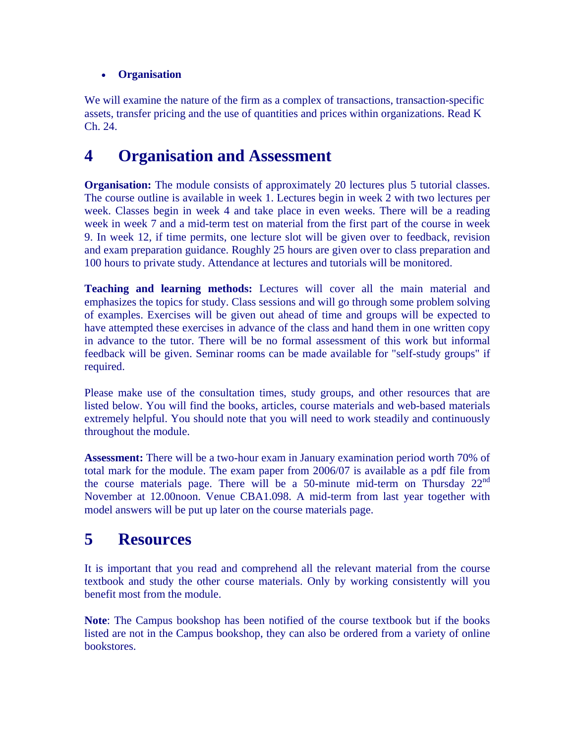#### <span id="page-4-0"></span>• **Organisation**

We will examine the nature of the firm as a complex of transactions, transaction-specific assets, transfer pricing and the use of quantities and prices within organizations. Read K Ch. 24.

### **4 Organisation and Assessment**

**Organisation:** The module consists of approximately 20 lectures plus 5 tutorial classes. The course outline is available in week 1. Lectures begin in week 2 with two lectures per week. Classes begin in week 4 and take place in even weeks. There will be a reading week in week 7 and a mid-term test on material from the first part of the course in week 9. In week 12, if time permits, one lecture slot will be given over to feedback, revision and exam preparation guidance. Roughly 25 hours are given over to class preparation and 100 hours to private study. Attendance at lectures and tutorials will be monitored.

**Teaching and learning methods:** Lectures will cover all the main material and emphasizes the topics for study. Class sessions and will go through some problem solving of examples. Exercises will be given out ahead of time and groups will be expected to have attempted these exercises in advance of the class and hand them in one written copy in advance to the tutor. There will be no formal assessment of this work but informal feedback will be given. Seminar rooms can be made available for "self-study groups" if required.

Please make use of the consultation times, study groups, and other resources that are listed below. You will find the books, articles, course materials and web-based materials extremely helpful. You should note that you will need to work steadily and continuously throughout the module.

**Assessment:** There will be a two-hour exam in January examination period worth 70% of total mark for the module. The exam paper from 2006/07 is available as a pdf file from the course materials page. There will be a 50-minute mid-term on Thursday  $22<sup>nd</sup>$ November at 12.00noon. Venue CBA1.098. A mid-term from last year together with model answers will be put up later on the course materials page.

### **5 Resources**

It is important that you read and comprehend all the relevant material from the course textbook and study the other course materials. Only by working consistently will you benefit most from the module.

**Note**: The Campus bookshop has been notified of the course textbook but if the books listed are not in the Campus bookshop, they can also be ordered from a variety of online bookstores.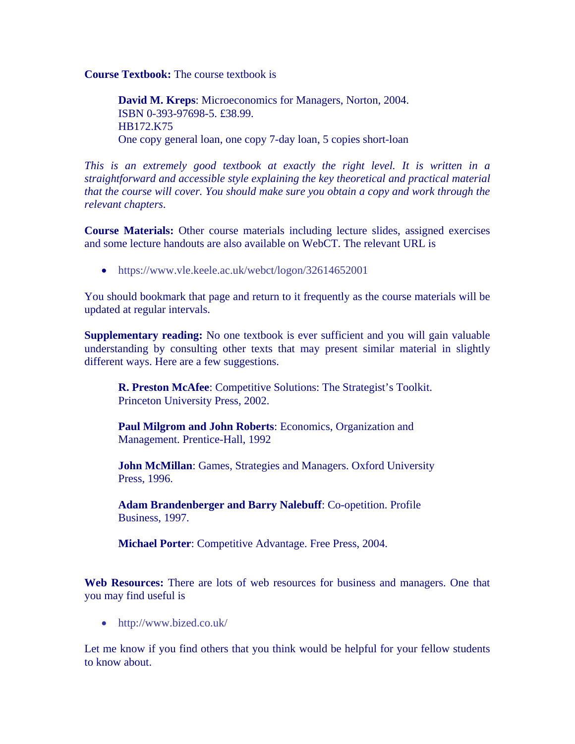**Course Textbook:** The course textbook is

**David M. Kreps**: Microeconomics for Managers, Norton, 2004. ISBN 0-393-97698-5. £38.99. HB172.K75 One copy general loan, one copy 7-day loan, 5 copies short-loan

*This is an extremely good textbook at exactly the right level. It is written in a straightforward and accessible style explaining the key theoretical and practical material that the course will cover. You should make sure you obtain a copy and work through the relevant chapters*.

**Course Materials:** Other course materials including lecture slides, assigned exercises and some lecture handouts are also available on WebCT. The relevant URL is

• <https://www.vle.keele.ac.uk/webct/logon/32614652001>

You should bookmark that page and return to it frequently as the course materials will be updated at regular intervals.

**Supplementary reading:** No one textbook is ever sufficient and you will gain valuable understanding by consulting other texts that may present similar material in slightly different ways. Here are a few suggestions.

**R. Preston McAfee**: Competitive Solutions: The Strategist's Toolkit. Princeton University Press, 2002.

**Paul Milgrom and John Roberts**: Economics, Organization and Management. Prentice-Hall, 1992

**John McMillan**: Games, Strategies and Managers. Oxford University Press, 1996.

Adam Brandenberger and Barry Nalebuff: Co-opetition. Profile Business, 1997.

**Michael Porter**: Competitive Advantage. Free Press, 2004.

**Web Resources:** There are lots of web resources for business and managers. One that you may find useful is

• http://www.bized.co.uk/

Let me know if you find others that you think would be helpful for your fellow students to know about.